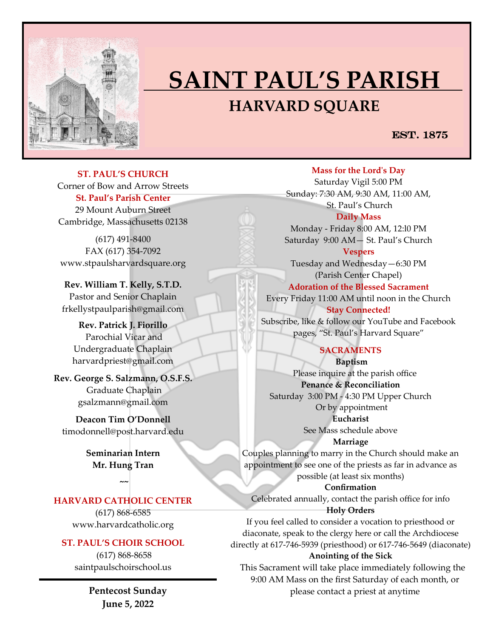

# **SAINT PAUL'S PARISH HARVARD SQUARE**

EST. 1875

**ST. PAUL'S CHURCH**  Corner of Bow and Arrow Streets **St. Paul's Parish Center** 29 Mount Auburn Street Cambridge, Massachusetts 02138

(617) 491-8400 FAX (617) 354-7092 www.stpaulsharvardsquare.org

**Rev. William T. Kelly, S.T.D.** Pastor and Senior Chaplain frkellystpaulparish@gmail.com

**Rev. Patrick J. Fiorillo** Parochial Vicar and Undergraduate Chaplain harvardpriest@gmail.com

**Rev. George S. Salzmann, O.S.F.S.** Graduate Chaplain gsalzmann@gmail.com

**Deacon Tim O'Donnell**  [timodonnell@post.harvard.edu](mailto:timodonnell@post.harvard.edu)

> **Seminarian Intern Mr. Hung Tran**

> > **~~**

# **HARVARD CATHOLIC CENTER**

(617) 868-6585 www.harvardcatholic.org

#### **ST. PAUL'S CHOIR SCHOOL**

(617) 868-8658 saintpaulschoirschool.us

> **Pentecost Sunday June 5, 2022**

**Mass for the Lord's Day** 

Saturday Vigil 5:00 PM Sunday: 7:30 AM, 9:30 AM, 11:00 AM, St. Paul's Church **Daily Mass**

Monday - Friday 8:00 AM, 12:l0 PM Saturday 9:00 AM— St. Paul's Church

**Vespers** Tuesday and Wednesday—6:30 PM (Parish Center Chapel)

**Adoration of the Blessed Sacrament**

Every Friday 11:00 AM until noon in the Church **Stay Connected!** 

Subscribe, like & follow our YouTube and Facebook pages, "St. Paul's Harvard Square"

# **SACRAMENTS**

**Baptism**  Please inquire at the parish office **Penance & Reconciliation** Saturday 3:00 PM - 4:30 PM Upper Church Or by appointment **Eucharist** 

See Mass schedule above

**Marriage** 

Couples planning to marry in the Church should make an appointment to see one of the priests as far in advance as possible (at least six months)

**Confirmation**  Celebrated annually, contact the parish office for info

**Holy Orders** 

If you feel called to consider a vocation to priesthood or diaconate, speak to the clergy here or call the Archdiocese directly at 617-746-5939 (priesthood) or 617-746-5649 (diaconate)

#### **Anointing of the Sick**

 This Sacrament will take place immediately following the 9:00 AM Mass on the first Saturday of each month, or please contact a priest at anytime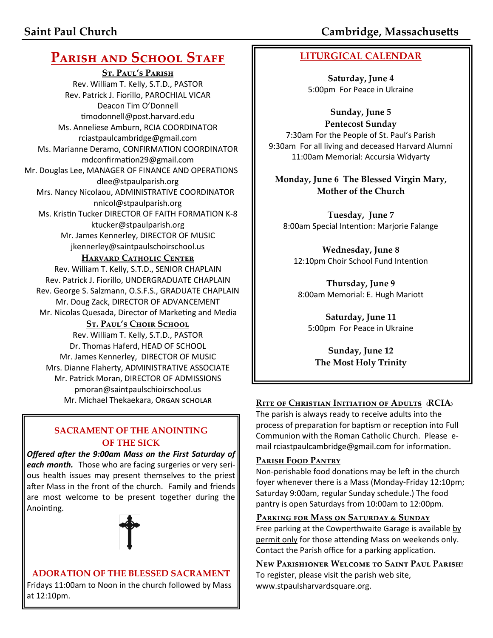# **PARISH AND SCHOOL STAFF**

**St. Paul's Parish** Rev. William T. Kelly, S.T.D., PASTOR Rev. Patrick J. Fiorillo, PAROCHIAL VICAR Deacon Tim O'Donnell [timodonnell@post.harvard.edu](mailto:timodonnell@post.harvard.edu) Ms. Anneliese Amburn, RCIA COORDINATOR rciastpaulcambridge@gmail.com Ms. Marianne Deramo, CONFIRMATION COORDINATOR mdconfirmation29@gmail.com Mr. Douglas Lee, MANAGER OF FINANCE AND OPERATIONS dlee@stpaulparish.org Mrs. Nancy Nicolaou, ADMINISTRATIVE COORDINATOR nnicol@stpaulparish.org Ms. Kristin Tucker DIRECTOR OF FAITH FORMATION K-8 ktucker@stpaulparish.org Mr. James Kennerley, DIRECTOR OF MUSIC jkennerley@saintpaulschoirschool.us

# **HARVARD CATHOLIC CENTER**

Rev. William T. Kelly, S.T.D., SENIOR CHAPLAIN Rev. Patrick J. Fiorillo, UNDERGRADUATE CHAPLAIN Rev. George S. Salzmann, O.S.F.S., GRADUATE CHAPLAIN Mr. Doug Zack, DIRECTOR OF ADVANCEMENT Mr. Nicolas Quesada, Director of Marketing and Media

# **St. Paul's Choir School**

Rev. William T. Kelly, S.T.D., PASTOR Dr. Thomas Haferd, HEAD OF SCHOOL Mr. James Kennerley, DIRECTOR OF MUSIC Mrs. Dianne Flaherty, ADMINISTRATIVE ASSOCIATE Mr. Patrick Moran, DIRECTOR OF ADMISSIONS pmoran@saintpaulschioirschool.us

# **SACRAMENT OF THE ANOINTING OF THE SICK**

*Offered after the 9:00am Mass on the First Saturday of each month.* Those who are facing surgeries or very serious health issues may present themselves to the priest after Mass in the front of the church. Family and friends are most welcome to be present together during the Anointing.



#### **ADORATION OF THE BLESSED SACRAMENT** Fridays 11:00am to Noon in the church followed by Mass at 12:10pm.

**LITURGICAL CALENDAR**

**Saturday, June 4** 5:00pm For Peace in Ukraine

**Sunday, June 5 Pentecost Sunday** 7:30am For the People of St. Paul's Parish 9:30am For all living and deceased Harvard Alumni 11:00am Memorial: Accursia Widyarty

**Monday, June 6 The Blessed Virgin Mary, Mother of the Church**

**Tuesday, June 7**  8:00am Special Intention: Marjorie Falange

**Wednesday, June 8**  12:10pm Choir School Fund Intention

**Thursday, June 9**  8:00am Memorial: E. Hugh Mariott

**Saturday, June 11** 5:00pm For Peace in Ukraine

**Sunday, June 12 The Most Holy Trinity**

# Mr. Michael Thekaekara, Organ scholar **RITE OF CHRISTIAN INITIATION OF ADULTS** (RCIA)

The parish is always ready to receive adults into the process of preparation for baptism or reception into Full Communion with the Roman Catholic Church. Please email rciastpaulcambridge@gmail.com for information.

# **Parish Food Pantry**

Non-perishable food donations may be left in the church foyer whenever there is a Mass (Monday-Friday 12:10pm; Saturday 9:00am, regular Sunday schedule.) The food pantry is open Saturdays from 10:00am to 12:00pm.

#### **Parking for Mass on Saturday & Sunday**

Free parking at the Cowperthwaite Garage is available by permit only for those attending Mass on weekends only. Contact the Parish office for a parking application.

**New Parishioner Welcome to Saint Paul Parish!** To register, please visit the parish web site, www.stpaulsharvardsquare.org.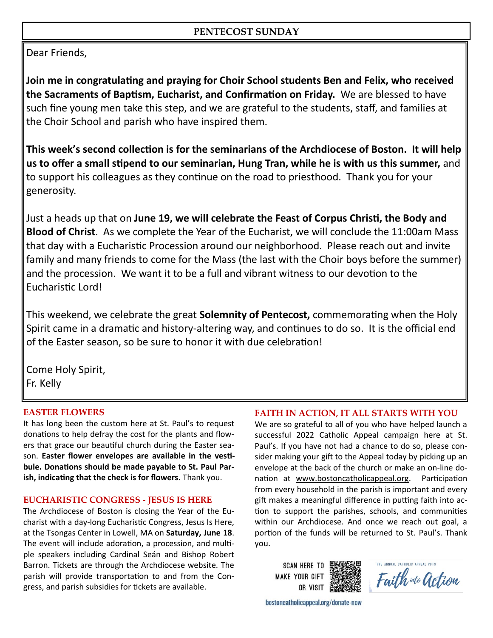# **PENTECOST SUNDAY**

Dear Friends,

**Join me in congratulating and praying for Choir School students Ben and Felix, who received the Sacraments of Baptism, Eucharist, and Confirmation on Friday.** We are blessed to have such fine young men take this step, and we are grateful to the students, staff, and families at the Choir School and parish who have inspired them.

**This week's second collection is for the seminarians of the Archdiocese of Boston. It will help us to offer a small stipend to our seminarian, Hung Tran, while he is with us this summer,** and to support his colleagues as they continue on the road to priesthood. Thank you for your generosity.

Just a heads up that on **June 19, we will celebrate the Feast of Corpus Christi, the Body and Blood of Christ**. As we complete the Year of the Eucharist, we will conclude the 11:00am Mass that day with a Eucharistic Procession around our neighborhood. Please reach out and invite family and many friends to come for the Mass (the last with the Choir boys before the summer) and the procession. We want it to be a full and vibrant witness to our devotion to the Eucharistic Lord!

This weekend, we celebrate the great **Solemnity of Pentecost,** commemorating when the Holy Spirit came in a dramatic and history-altering way, and continues to do so. It is the official end of the Easter season, so be sure to honor it with due celebration!

Come Holy Spirit, Fr. Kelly

# **EASTER FLOWERS**

It has long been the custom here at St. Paul's to request donations to help defray the cost for the plants and flowers that grace our beautiful church during the Easter season. **Easter flower envelopes are available in the vestibule. Donations should be made payable to St. Paul Parish, indicating that the check is for flowers.** Thank you.

#### **EUCHARISTIC CONGRESS - JESUS IS HERE**

The Archdiocese of Boston is closing the Year of the Eucharist with a day-long Eucharistic Congress, Jesus Is Here, at the Tsongas Center in Lowell, MA on **Saturday, June 18**. The event will include adoration, a procession, and multiple speakers including Cardinal Seán and Bishop Robert Barron. Tickets are through the Archdiocese website. The parish will provide transportation to and from the Congress, and parish subsidies for tickets are available.

#### **FAITH IN ACTION, IT ALL STARTS WITH YOU**

We are so grateful to all of you who have helped launch a successful 2022 Catholic Appeal campaign here at St. Paul's. If you have not had a chance to do so, please consider making your gift to the Appeal today by picking up an envelope at the back of the church or make an on-line donation at [www.bostoncatholicappeal.org.](http://www.bostoncatholicappeal.org) Participation from every household in the parish is important and every gift makes a meaningful difference in putting faith into action to support the parishes, schools, and communities within our Archdiocese. And once we reach out goal, a portion of the funds will be returned to St. Paul's. Thank you.

**SCAN HERE TO MAKE YOUR GIFT** OR VISIT

Faith wto action

bostoncatholicappeal.org/donate-now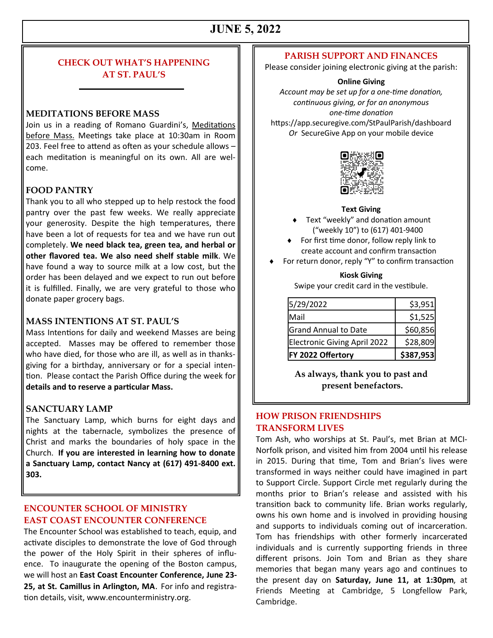# **JUNE 5, 2022**

### **CHECK OUT WHAT'S HAPPENING AT ST. PAUL'S**

#### **MEDITATIONS BEFORE MASS**

Join us in a reading of Romano Guardini's, Meditations before Mass. Meetings take place at 10:30am in Room 203. Feel free to attend as often as your schedule allows – each meditation is meaningful on its own. All are welcome.

#### **FOOD PANTRY**

Thank you to all who stepped up to help restock the food pantry over the past few weeks. We really appreciate your generosity. Despite the high temperatures, there have been a lot of requests for tea and we have run out completely. **We need black tea, green tea, and herbal or other flavored tea. We also need shelf stable milk**. We have found a way to source milk at a low cost, but the order has been delayed and we expect to run out before it is fulfilled. Finally, we are very grateful to those who donate paper grocery bags.

#### **MASS INTENTIONS AT ST. PAUL'S**

Mass Intentions for daily and weekend Masses are being accepted. Masses may be offered to remember those who have died, for those who are ill, as well as in thanksgiving for a birthday, anniversary or for a special intention. Please contact the Parish Office during the week for **details and to reserve a particular Mass.**

#### **SANCTUARY LAMP**

The Sanctuary Lamp, which burns for eight days and nights at the tabernacle, symbolizes the presence of Christ and marks the boundaries of holy space in the Church. **If you are interested in learning how to donate a Sanctuary Lamp, contact Nancy at (617) 491-8400 ext. 303.**

#### **ENCOUNTER SCHOOL OF MINISTRY EAST COAST ENCOUNTER CONFERENCE**

The Encounter School was established to teach, equip, and activate disciples to demonstrate the love of God through the power of the Holy Spirit in their spheres of influence. To inaugurate the opening of the Boston campus, we will host an **East Coast Encounter Conference, June 23- 25, at St. Camillus in Arlington, MA**. For info and registration details, visit, www.encounterministry.org.

#### **PARISH SUPPORT AND FINANCES**

Please consider joining electronic giving at the parish:

#### **Online Giving**

*Account may be set up for a one-time donation, continuous giving, or for an anonymous one-time donation* https://app.securegive.com/StPaulParish/dashboard *Or* SecureGive App on your mobile device



#### **Text Giving**

- ◆ Text "weekly" and donation amount ("weekly 10") to (617) 401-9400
- ◆ For first time donor, follow reply link to create account and confirm transaction
- For return donor, reply "Y" to confirm transaction

#### **Kiosk Giving**

Swipe your credit card in the vestibule.

| FY 2022 Offertory                   | \$387,953 |
|-------------------------------------|-----------|
| <b>Electronic Giving April 2022</b> | \$28,809  |
| <b>Grand Annual to Date</b>         | \$60,856  |
| Mail                                | \$1,525   |
| 5/29/2022                           | \$3,951   |

**As always, thank you to past and present benefactors.**

#### **HOW PRISON FRIENDSHIPS TRANSFORM LIVES**

Tom Ash, who worships at St. Paul's, met Brian at MCI-Norfolk prison, and visited him from 2004 until his release in 2015. During that time, Tom and Brian's lives were transformed in ways neither could have imagined in part to Support Circle. Support Circle met regularly during the months prior to Brian's release and assisted with his transition back to community life. Brian works regularly, owns his own home and is involved in providing housing and supports to individuals coming out of incarceration. Tom has friendships with other formerly incarcerated individuals and is currently supporting friends in three different prisons. Join Tom and Brian as they share memories that began many years ago and continues to the present day on **Saturday, June 11, at 1:30pm**, at Friends Meeting at Cambridge, 5 Longfellow Park, Cambridge.